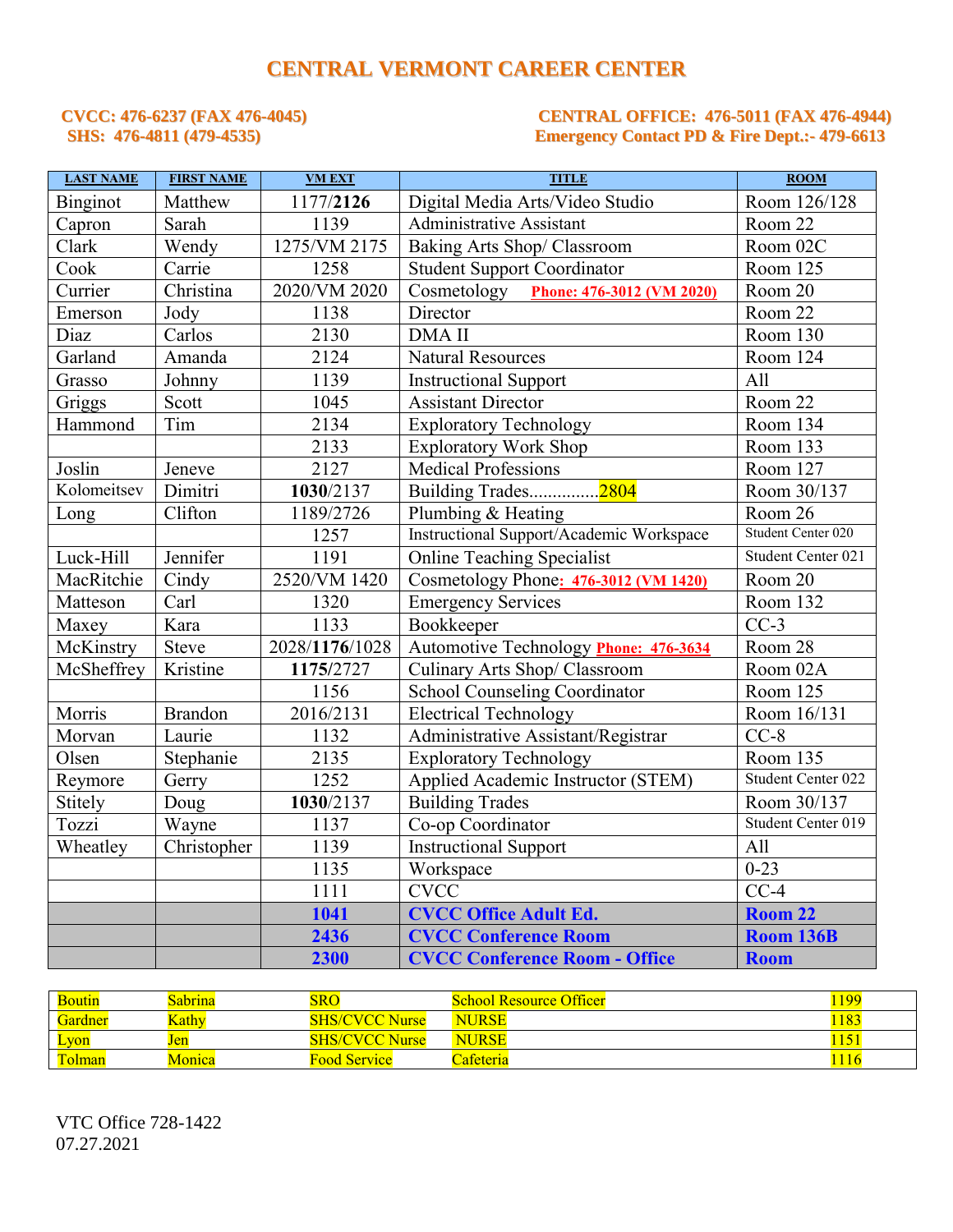# **CENTRAL VERMONT CAREER CENTER**

## **CVCC: 476-6237 (FAX 476-4045) CENTRAL OFFICE: 476-5011 (FAX 476-4944) SHS: 476-4811 (479-4535) Emergency Contact PD & Fire Dept.:- 479-6613**

| <b>LAST NAME</b> | <b>FIRST NAME</b> | <b>VM EXT</b>  | <b>TITLE</b>                             | $\overline{ROOM}$  |
|------------------|-------------------|----------------|------------------------------------------|--------------------|
| Binginot         | Matthew           | 1177/2126      | Digital Media Arts/Video Studio          | Room 126/128       |
| Capron           | Sarah             | 1139           | Administrative Assistant                 | Room 22            |
| Clark            | Wendy             | 1275/VM 2175   | Baking Arts Shop/ Classroom              | Room 02C           |
| Cook             | Carrie            | 1258           | <b>Student Support Coordinator</b>       | Room 125           |
| Currier          | Christina         | 2020/VM 2020   | Cosmetology Phone: 476-3012 (VM 2020)    | Room 20            |
| Emerson          | Jody              | 1138           | Director                                 | Room 22            |
| Diaz             | Carlos            | 2130           | <b>DMA II</b>                            | Room 130           |
| Garland          | Amanda            | 2124           | <b>Natural Resources</b>                 | Room 124           |
| Grasso           | Johnny            | 1139           | <b>Instructional Support</b>             | All                |
| Griggs           | Scott             | 1045           | <b>Assistant Director</b>                | Room 22            |
| Hammond          | Tim               | 2134           | <b>Exploratory Technology</b>            | Room 134           |
|                  |                   | 2133           | <b>Exploratory Work Shop</b>             | Room 133           |
| Joslin           | Jeneve            | 2127           | <b>Medical Professions</b>               | Room 127           |
| Kolomeitsev      | Dimitri           | 1030/2137      | Building Trades2804                      | Room 30/137        |
| Long             | Clifton           | 1189/2726      | Plumbing & Heating                       | Room 26            |
|                  |                   | 1257           | Instructional Support/Academic Workspace | Student Center 020 |
| Luck-Hill        | Jennifer          | 1191           | <b>Online Teaching Specialist</b>        | Student Center 021 |
| MacRitchie       | Cindy             | 2520/VM 1420   | Cosmetology Phone: 476-3012 (VM 1420)    | Room 20            |
| Matteson         | Carl              | 1320           | <b>Emergency Services</b>                | Room 132           |
| Maxey            | Kara              | 1133           | Bookkeeper                               | $CC-3$             |
| McKinstry        | <b>Steve</b>      | 2028/1176/1028 | Automotive Technology Phone: 476-3634    | Room 28            |
| McSheffrey       | Kristine          | 1175/2727      | Culinary Arts Shop/ Classroom            | Room 02A           |
|                  |                   | 1156           | <b>School Counseling Coordinator</b>     | Room 125           |
| Morris           | <b>Brandon</b>    | 2016/2131      | <b>Electrical Technology</b>             | Room 16/131        |
| Morvan           | Laurie            | 1132           | Administrative Assistant/Registrar       | $CC-8$             |
| Olsen            | Stephanie         | 2135           | <b>Exploratory Technology</b>            | Room 135           |
| Reymore          | Gerry             | 1252           | Applied Academic Instructor (STEM)       | Student Center 022 |
| Stitely          | Doug              | 1030/2137      | <b>Building Trades</b>                   | Room 30/137        |
| Tozzi            | Wayne             | 1137           | Co-op Coordinator                        | Student Center 019 |
| Wheatley         | Christopher       | 1139           | <b>Instructional Support</b>             | All                |
|                  |                   | 1135           | Workspace                                | $0 - 23$           |
|                  |                   | 1111           | <b>CVCC</b>                              | $CC-4$             |
|                  |                   | 1041           | <b>CVCC Office Adult Ed.</b>             | Room 22            |
|                  |                   | 2436           | <b>CVCC Conference Room</b>              | <b>Room 136B</b>   |
|                  |                   | 2300           | <b>CVCC Conference Room - Office</b>     | <b>Room</b>        |

| <b>Boutin</b> | <b>Sabrina</b> | <b>SRO</b>            | <b>School Resource Officer</b> | 1199 |
|---------------|----------------|-----------------------|--------------------------------|------|
| Gardner       | Kathv          | <b>SHS/CVCC Nurse</b> | <b>NURSE</b>                   | 1183 |
| <b>Lyon</b>   | Jen            | <b>SHS/CVCC Nurse</b> | <b>NURSE</b>                   | 151  |
| <b>Tolman</b> | Monica         | Food Service          | Cafeteria                      | 1116 |

VTC Office 728-1422 07.27.2021